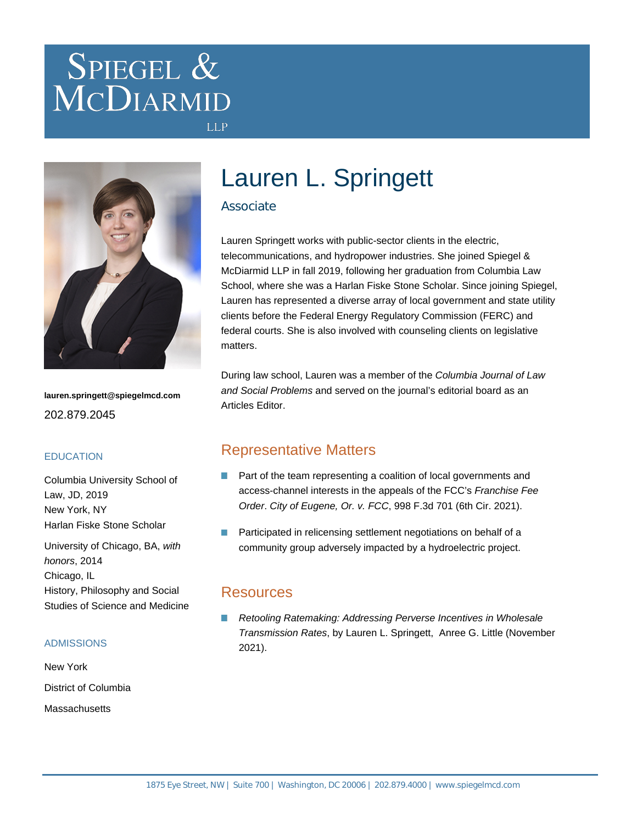# SPIEGEL & MCDIARMID



**lauren.springett@spiegelmcd.com** 202.879.2045

### **EDUCATION**

Columbia University School of Law, JD, 2019 New York, NY Harlan Fiske Stone Scholar

University of Chicago, BA, with honors, 2014 Chicago, IL History, Philosophy and Social Studies of Science and Medicine

#### ADMISSIONS

New York District of Columbia **Massachusetts** 

## Lauren L. Springett

### Associate

**LLP** 

Lauren Springett works with public-sector clients in the electric, telecommunications, and hydropower industries. She joined Spiegel & McDiarmid LLP in fall 2019, following her graduation from Columbia Law School, where she was a Harlan Fiske Stone Scholar. Since joining Spiegel, Lauren has represented a diverse array of local government and state utility clients before the Federal Energy Regulatory Commission (FERC) and federal courts. She is also involved with counseling clients on legislative matters.

During law school, Lauren was a member of the Columbia Journal of Law and Social Problems and served on the journal's editorial board as an Articles Editor.

### Representative Matters

- **Part of the team representing a coalition of local governments and** access-channel interests in the appeals of the FCC's Franchise Fee Order. City of Eugene, Or. v. FCC, 998 F.3d 701 (6th Cir. 2021).
- Participated in relicensing settlement negotiations on behalf of a community group adversely impacted by a hydroelectric project.

### Resources

[Retooling Ratemaking: Addressing Perverse Incentives in Wholesale](https://www.spiegelmcd.com/all-resources/retooling-ratemaking-addressing-perverse-incentives-in-wholesale-transmission-rates/) [Transmission Rates](https://www.spiegelmcd.com/all-resources/retooling-ratemaking-addressing-perverse-incentives-in-wholesale-transmission-rates/), by [Lauren L. Springett](https://www.spiegelmcd.com/professionals/lauren-l-springett/), [Anree G. Little](https://www.spiegelmcd.com/professionals/anree-little/) (November 2021).